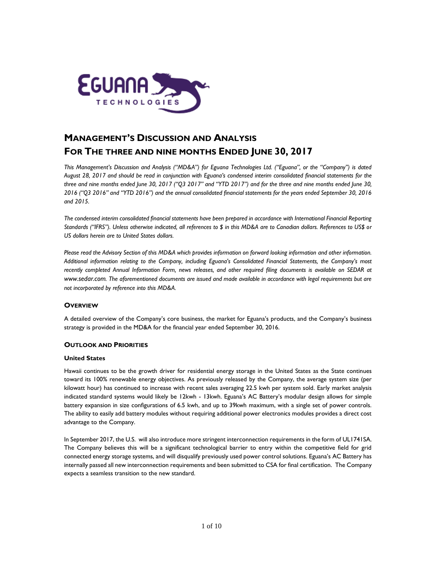

# **MANAGEMENT'S DISCUSSION AND ANALYSIS FOR THE THREE AND NINE MONTHS ENDED JUNE 30, 2017**

*This Management's Discussion and Analysis ("MD&A") for Eguana Technologies Ltd. ("Eguana", or the "Company") is dated August 28, 2017 and should be read in conjunction with Eguana's condensed interim consolidated financial statements for the three and nine months ended June 30, 2017 ("Q3 2017" and "YTD 2017") and for the three and nine months ended June 30, 2016 ("Q3 2016" and "YTD 2016") and the annual consolidated financial statements for the years ended September 30, 2016 and 2015.* 

*The condensed interim consolidated financial statements have been prepared in accordance with International Financial Reporting Standards ("IFRS"). Unless otherwise indicated, all references to \$ in this MD&A are to Canadian dollars. References to US\$ or US dollars herein are to United States dollars.*

*Please read the Advisory Section of this MD&A which provides information on forward looking information and other information. Additional information relating to the Company, including Eguana's Consolidated Financial Statements, the Company's most*  recently completed Annual Information Form, news releases, and other required filing documents is available on SEDAR at *[www.sedar.com](http://www.sedar.com/). The aforementioned documents are issued and made available in accordance with legal requirements but are not incorporated by reference into this MD&A.*

# **OVERVIEW**

A detailed overview of the Company's core business, the market for Eguana's products, and the Company's business strategy is provided in the MD&A for the financial year ended September 30, 2016.

## **OUTLOOK AND PRIORITIES**

## **United States**

Hawaii continues to be the growth driver for residential energy storage in the United States as the State continues toward its 100% renewable energy objectives. As previously released by the Company, the average system size (per kilowatt hour) has continued to increase with recent sales averaging 22.5 kwh per system sold. Early market analysis indicated standard systems would likely be 12kwh - 13kwh. Eguana's AC Battery's modular design allows for simple battery expansion in size configurations of 6.5 kwh, and up to 39kwh maximum, with a single set of power controls. The ability to easily add battery modules without requiring additional power electronics modules provides a direct cost advantage to the Company.

In September 2017, the U.S. will also introduce more stringent interconnection requirements in the form of UL1741SA. The Company believes this will be a significant technological barrier to entry within the competitive field for grid connected energy storage systems, and will disqualify previously used power control solutions. Eguana's AC Battery has internally passed all new interconnection requirements and been submitted to CSA for final certification. The Company expects a seamless transition to the new standard.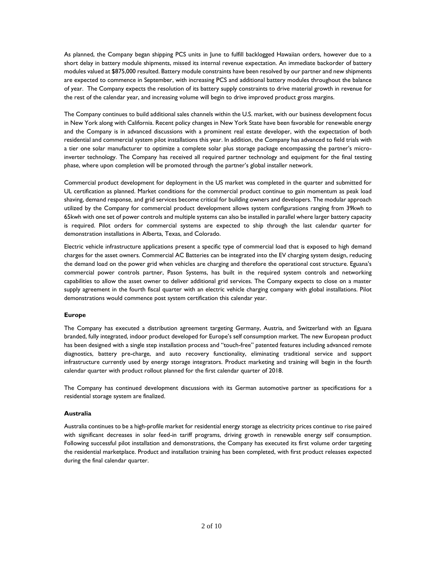As planned, the Company began shipping PCS units in June to fulfill backlogged Hawaiian orders, however due to a short delay in battery module shipments, missed its internal revenue expectation. An immediate backorder of battery modules valued at \$875,000 resulted. Battery module constraints have been resolved by our partner and new shipments are expected to commence in September, with increasing PCS and additional battery modules throughout the balance of year. The Company expects the resolution of its battery supply constraints to drive material growth in revenue for the rest of the calendar year, and increasing volume will begin to drive improved product gross margins.

The Company continues to build additional sales channels within the U.S. market, with our business development focus in New York along with California. Recent policy changes in New York State have been favorable for renewable energy and the Company is in advanced discussions with a prominent real estate developer, with the expectation of both residential and commercial system pilot installations this year. In addition, the Company has advanced to field trials with a tier one solar manufacturer to optimize a complete solar plus storage package encompassing the partner's microinverter technology. The Company has received all required partner technology and equipment for the final testing phase, where upon completion will be promoted through the partner's global installer network.

Commercial product development for deployment in the US market was completed in the quarter and submitted for UL certification as planned. Market conditions for the commercial product continue to gain momentum as peak load shaving, demand response, and grid services become critical for building owners and developers. The modular approach utilized by the Company for commercial product development allows system configurations ranging from 39kwh to 65kwh with one set of power controls and multiple systems can also be installed in parallel where larger battery capacity is required. Pilot orders for commercial systems are expected to ship through the last calendar quarter for demonstration installations in Alberta, Texas, and Colorado.

Electric vehicle infrastructure applications present a specific type of commercial load that is exposed to high demand charges for the asset owners. Commercial AC Batteries can be integrated into the EV charging system design, reducing the demand load on the power grid when vehicles are charging and therefore the operational cost structure. Eguana's commercial power controls partner, Pason Systems, has built in the required system controls and networking capabilities to allow the asset owner to deliver additional grid services. The Company expects to close on a master supply agreement in the fourth fiscal quarter with an electric vehicle charging company with global installations. Pilot demonstrations would commence post system certification this calendar year.

# **Europe**

The Company has executed a distribution agreement targeting Germany, Austria, and Switzerland with an Eguana branded, fully integrated, indoor product developed for Europe's self consumption market. The new European product has been designed with a single step installation process and "touch-free" patented features including advanced remote diagnostics, battery pre-charge, and auto recovery functionality, eliminating traditional service and support infrastructure currently used by energy storage integrators. Product marketing and training will begin in the fourth calendar quarter with product rollout planned for the first calendar quarter of 2018.

The Company has continued development discussions with its German automotive partner as specifications for a residential storage system are finalized.

# **Australia**

Australia continues to be a high-profile market for residential energy storage as electricity prices continue to rise paired with significant decreases in solar feed-in tariff programs, driving growth in renewable energy self consumption. Following successful pilot installation and demonstrations, the Company has executed its first volume order targeting the residential marketplace. Product and installation training has been completed, with first product releases expected during the final calendar quarter.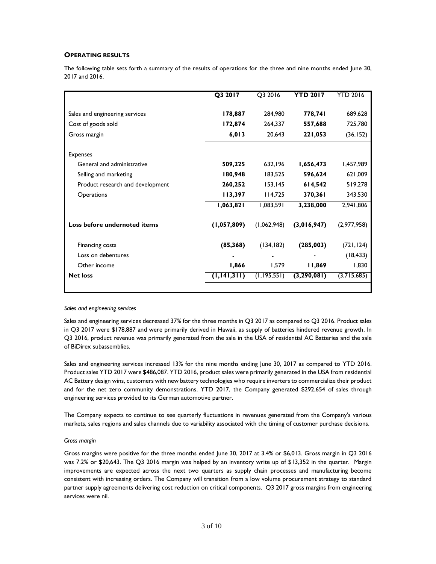# **OPERATING RESULTS**

The following table sets forth a summary of the results of operations for the three and nine months ended June 30, 2017 and 2016.

|                                  | Q3 2017       | Q3 2016       | <b>YTD 2017</b> | <b>YTD 2016</b> |
|----------------------------------|---------------|---------------|-----------------|-----------------|
| Sales and engineering services   | 178,887       | 284,980       | 778,741         | 689,628         |
| Cost of goods sold               | 172,874       | 264,337       | 557,688         | 725,780         |
| Gross margin                     | 6,013         | 20,643        | 221,053         | (36, 152)       |
| <b>Expenses</b>                  |               |               |                 |                 |
| General and administrative       | 509,225       | 632,196       | 1,656,473       | 1,457,989       |
| Selling and marketing            | 180,948       | 183,525       | 596,624         | 621,009         |
| Product research and development | 260,252       | 153, 145      | 614,542         | 519,278         |
| Operations                       | 113,397       | 114,725       | 370,361         | 343,530         |
|                                  | 1,063,821     | 1,083,591     | 3,238,000       | 2,941,806       |
| Loss before undernoted items     | (1,057,809)   | (1,062,948)   | (3,016,947)     | (2,977,958)     |
| Financing costs                  | (85, 368)     | (134, 182)    | (285,003)       | (721, 124)      |
| Loss on debentures               |               |               |                 | (18, 433)       |
| Other income                     | 1,866         | 1,579         | 11,869          | 1,830           |
| <b>Net loss</b>                  | (1, 141, 311) | (1, 195, 551) | (3, 290, 081)   | (3,715,685)     |
|                                  |               |               |                 |                 |

*Sales and engineering services*

Sales and engineering services decreased 37% for the three months in Q3 2017 as compared to Q3 2016. Product sales in Q3 2017 were \$178,887 and were primarily derived in Hawaii, as supply of batteries hindered revenue growth. In Q3 2016, product revenue was primarily generated from the sale in the USA of residential AC Batteries and the sale of BiDirex subassemblies.

Sales and engineering services increased 13% for the nine months ending June 30, 2017 as compared to YTD 2016. Product sales YTD 2017 were \$486,087. YTD 2016, product sales were primarily generated in the USA from residential AC Battery design wins, customers with new battery technologies who require inverters to commercialize their product and for the net zero community demonstrations. YTD 2017, the Company generated \$292,654 of sales through engineering services provided to its German automotive partner.

The Company expects to continue to see quarterly fluctuations in revenues generated from the Company's various markets, sales regions and sales channels due to variability associated with the timing of customer purchase decisions.

#### *Gross margin*

Gross margins were positive for the three months ended June 30, 2017 at 3.4% or \$6,013. Gross margin in Q3 2016 was 7.2% or \$20,643. The Q3 2016 margin was helped by an inventory write up of \$13,352 in the quarter. Margin improvements are expected across the next two quarters as supply chain processes and manufacturing become consistent with increasing orders. The Company will transition from a low volume procurement strategy to standard partner supply agreements delivering cost reduction on critical components. Q3 2017 gross margins from engineering services were nil.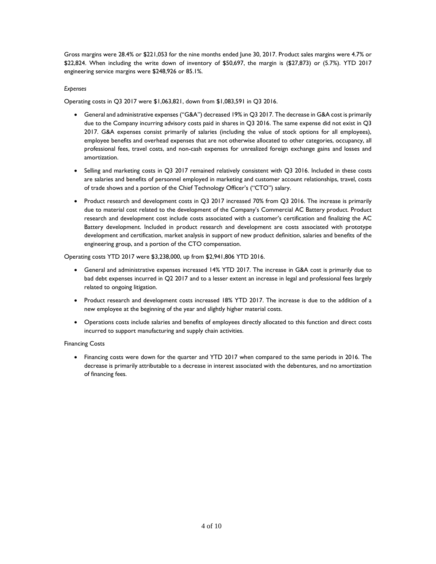Gross margins were 28.4% or \$221,053 for the nine months ended June 30, 2017. Product sales margins were 4.7% or \$22,824. When including the write down of inventory of \$50,697, the margin is (\$27,873) or (5.7%). YTD 2017 engineering service margins were \$248,926 or 85.1%.

## *Expenses*

Operating costs in Q3 2017 were \$1,063,821, down from \$1,083,591 in Q3 2016.

- General and administrative expenses ("G&A") decreased 19% in Q3 2017. The decrease in G&A cost is primarily due to the Company incurring advisory costs paid in shares in Q3 2016. The same expense did not exist in Q3 2017. G&A expenses consist primarily of salaries (including the value of stock options for all employees), employee benefits and overhead expenses that are not otherwise allocated to other categories, occupancy, all professional fees, travel costs, and non-cash expenses for unrealized foreign exchange gains and losses and amortization.
- Selling and marketing costs in Q3 2017 remained relatively consistent with Q3 2016. Included in these costs are salaries and benefits of personnel employed in marketing and customer account relationships, travel, costs of trade shows and a portion of the Chief Technology Officer's ("CTO") salary.
- Product research and development costs in Q3 2017 increased 70% from Q3 2016. The increase is primarily due to material cost related to the development of the Company's Commercial AC Battery product. Product research and development cost include costs associated with a customer's certification and finalizing the AC Battery development. Included in product research and development are costs associated with prototype development and certification, market analysis in support of new product definition, salaries and benefits of the engineering group, and a portion of the CTO compensation.

## Operating costs YTD 2017 were \$3,238,000, up from \$2,941,806 YTD 2016.

- General and administrative expenses increased 14% YTD 2017. The increase in G&A cost is primarily due to bad debt expenses incurred in Q2 2017 and to a lesser extent an increase in legal and professional fees largely related to ongoing litigation.
- Product research and development costs increased 18% YTD 2017. The increase is due to the addition of a new employee at the beginning of the year and slightly higher material costs.
- Operations costs include salaries and benefits of employees directly allocated to this function and direct costs incurred to support manufacturing and supply chain activities.

## Financing Costs

 Financing costs were down for the quarter and YTD 2017 when compared to the same periods in 2016. The decrease is primarily attributable to a decrease in interest associated with the debentures, and no amortization of financing fees.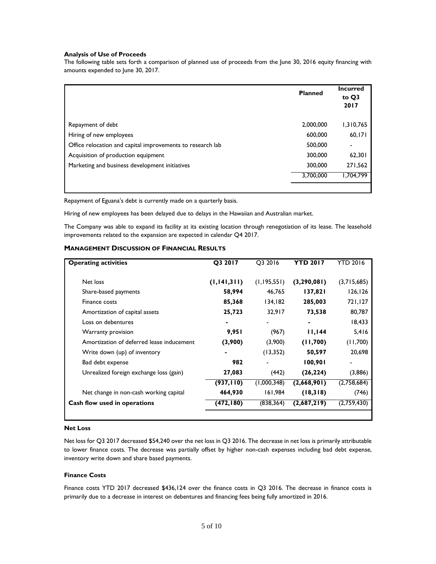#### **Analysis of Use of Proceeds**

The following table sets forth a comparison of planned use of proceeds from the June 30, 2016 equity financing with amounts expended to June 30, 2017.

|                                                            | <b>Planned</b> | <b>Incurred</b><br>to Q3<br>2017 |
|------------------------------------------------------------|----------------|----------------------------------|
| Repayment of debt                                          | 2,000,000      | 1,310,765                        |
| Hiring of new employees                                    | 600,000        | 60,171                           |
| Office relocation and capital improvements to research lab | 500,000        |                                  |
| Acquisition of production equipment                        | 300,000        | 62,301                           |
| Marketing and business development initiatives             | 300,000        | 271,562                          |
|                                                            | 3,700,000      | 704,799. ا                       |
|                                                            |                |                                  |

Repayment of Eguana's debt is currently made on a quarterly basis.

Hiring of new employees has been delayed due to delays in the Hawaiian and Australian market.

The Company was able to expand its facility at its existing location through renegotiation of its lease. The leasehold improvements related to the expansion are expected in calendar Q4 2017.

## **MANAGEMENT DISCUSSION OF FINANCIAL RESULTS**

| <b>Operating activities</b>               | Q3 2017       | Q3 2016     | <b>YTD 2017</b> | <b>YTD 2016</b> |
|-------------------------------------------|---------------|-------------|-----------------|-----------------|
|                                           |               |             |                 |                 |
| Net loss                                  | (1, 141, 311) | (1,195,551) | (3, 290, 081)   | (3,715,685)     |
| Share-based payments                      | 58,994        | 46,765      | 137,821         | 126, 126        |
| Finance costs                             | 85,368        | 134,182     | 285,003         | 721,127         |
| Amortization of capital assets            | 25,723        | 32,917      | 73,538          | 80,787          |
| Loss on debentures                        |               |             | ۰               | 18,433          |
| Warranty provision                        | 9,951         | (967)       | 11,144          | 5,416           |
| Amortization of deferred lease inducement | (3,900)       | (3,900)     | (11,700)        | (11,700)        |
| Write down (up) of inventory              |               | (13,352)    | 50,597          | 20,698          |
| Bad debt expense                          | 982           |             | 100,901         |                 |
| Unrealized foreign exchange loss (gain)   | 27,083        | (442)       | (26, 224)       | (3,886)         |
|                                           | (937, 110)    | (1,000,348) | (2,668,901)     | (2,758,684)     |
| Net change in non-cash working capital    | 464,930       | 161,984     | (18,318)        | (746)           |
| Cash flow used in operations              | (472,180)     | (838, 364)  | (2,687,219)     | (2,759,430)     |
|                                           |               |             |                 |                 |

#### **Net Loss**

Net loss for Q3 2017 decreased \$54,240 over the net loss in Q3 2016. The decrease in net loss is primarily attributable to lower finance costs. The decrease was partially offset by higher non-cash expenses including bad debt expense, inventory write down and share based payments.

## **Finance Costs**

Finance costs YTD 2017 decreased \$436,124 over the finance costs in Q3 2016. The decrease in finance costs is primarily due to a decrease in interest on debentures and financing fees being fully amortized in 2016.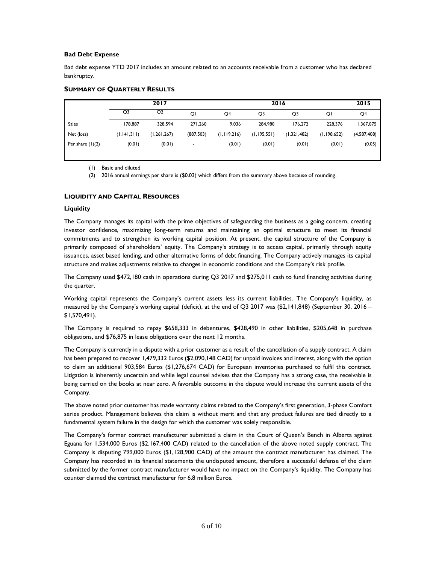## **Bad Debt Expense**

Bad debt expense YTD 2017 includes an amount related to an accounts receivable from a customer who has declared bankruptcy.

## **SUMMARY OF QUARTERLY RESULTS**

|                    | 2017          |                |            | 2016           |               |             |               | 2015        |
|--------------------|---------------|----------------|------------|----------------|---------------|-------------|---------------|-------------|
|                    | Q3            | Q <sub>2</sub> | QI         | Q <sub>4</sub> | Q3            | Q3          | QI            | Q4          |
| <b>Sales</b>       | 178,887       | 328,594        | 271,260    | 9,036          | 284,980       | 176,272     | 228,376       | 1,367,075   |
| Net (loss)         | (1, 141, 311) | (1, 261, 267)  | (887, 503) | (1,119,216)    | (1, 195, 551) | (1,321,482) | (1, 198, 652) | (4,587,408) |
| Per share $(1)(2)$ | (0.01)        | (0.01)         |            | (0.01)         | (0.01)        | (0.01)      | (0.01)        | (0.05)      |
|                    |               |                |            |                |               |             |               |             |

(1) Basic and diluted

(2) 2016 annual earnings per share is (\$0.03) which differs from the summary above because of rounding.

# **LIQUIDITY AND CAPITAL RESOURCES**

## **Liquidity**

The Company manages its capital with the prime objectives of safeguarding the business as a going concern, creating investor confidence, maximizing long-term returns and maintaining an optimal structure to meet its financial commitments and to strengthen its working capital position. At present, the capital structure of the Company is primarily composed of shareholders' equity. The Company's strategy is to access capital, primarily through equity issuances, asset based lending, and other alternative forms of debt financing. The Company actively manages its capital structure and makes adjustments relative to changes in economic conditions and the Company's risk profile.

The Company used \$472,180 cash in operations during Q3 2017 and \$275,011 cash to fund financing activities during the quarter.

Working capital represents the Company's current assets less its current liabilities. The Company's liquidity, as measured by the Company's working capital (deficit), at the end of Q3 2017 was (\$2,141,848) (September 30, 2016 – \$1,570,491).

The Company is required to repay \$658,333 in debentures, \$428,490 in other liabilities, \$205,648 in purchase obligations, and \$76,875 in lease obligations over the next 12 months.

The Company is currently in a dispute with a prior customer as a result of the cancellation of a supply contract. A claim has been prepared to recover 1,479,332 Euros (\$2,090,148 CAD) for unpaid invoices and interest, along with the option to claim an additional 903,584 Euros (\$1,276,674 CAD) for European inventories purchased to fulfil this contract. Litigation is inherently uncertain and while legal counsel advises that the Company has a strong case, the receivable is being carried on the books at near zero. A favorable outcome in the dispute would increase the current assets of the Company.

The above noted prior customer has made warranty claims related to the Company's first generation, 3-phase Comfort series product. Management believes this claim is without merit and that any product failures are tied directly to a fundamental system failure in the design for which the customer was solely responsible.

The Company's former contract manufacturer submitted a claim in the Court of Queen's Bench in Alberta against Eguana for 1,534,000 Euros (\$2,167,400 CAD) related to the cancellation of the above noted supply contract. The Company is disputing 799,000 Euros (\$1,128,900 CAD) of the amount the contract manufacturer has claimed. The Company has recorded in its financial statements the undisputed amount, therefore a successful defense of the claim submitted by the former contract manufacturer would have no impact on the Company's liquidity. The Company has counter claimed the contract manufacturer for 6.8 million Euros.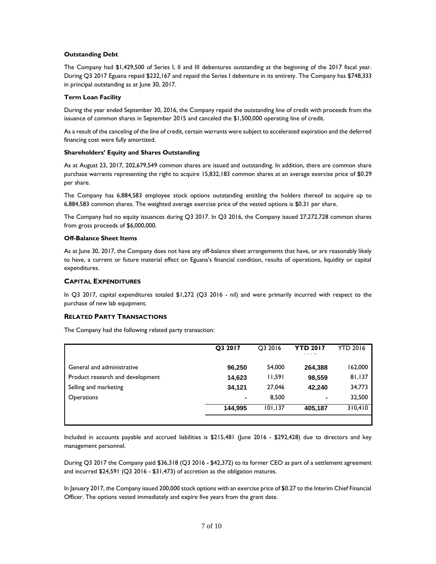## **Outstanding Debt**

The Company had \$1,429,500 of Series I, II and III debentures outstanding at the beginning of the 2017 fiscal year. During Q3 2017 Eguana repaid \$232,167 and repaid the Series I debenture in its entirety. The Company has \$748,333 in principal outstanding as at June 30, 2017.

## **Term Loan Facility**

During the year ended September 30, 2016, the Company repaid the outstanding line of credit with proceeds from the issuance of common shares in September 2015 and canceled the \$1,500,000 operating line of credit.

As a result of the canceling of the line of credit, certain warrants were subject to accelerated expiration and the deferred financing cost were fully amortized.

## **Shareholders' Equity and Shares Outstanding**

As at August 23, 2017, 202,679,549 common shares are issued and outstanding. In addition, there are common share purchase warrants representing the right to acquire 15,832,183 common shares at an average exercise price of \$0.29 per share.

The Company has 6,884,583 employee stock options outstanding entitling the holders thereof to acquire up to 6,884,583 common shares. The weighted average exercise price of the vested options is \$0.31 per share.

The Company had no equity issuances during Q3 2017. In Q3 2016, the Company issued 27,272,728 common shares from gross proceeds of \$6,000,000.

## **Off-Balance Sheet Items**

As at June 30, 2017, the Company does not have any off-balance sheet arrangements that have, or are reasonably likely to have, a current or future material effect on Eguana's financial condition, results of operations, liquidity or capital expenditures.

## **CAPITAL EXPENDITURES**

In Q3 2017, capital expenditures totaled \$1,272 (Q3 2016 - nil) and were primarily incurred with respect to the purchase of new lab equipment.

## **RELATED PARTY TRANSACTIONS**

The Company had the following related party transaction:

|                                  | Q3 2017 | O3 2016 | <b>YTD 2017</b> | <b>YTD 2016</b> |
|----------------------------------|---------|---------|-----------------|-----------------|
| General and administrative       | 96,250  | 54,000  | 264,388         | 162,000         |
| Product research and development | 14,623  | 11,591  | 98,559          | 81,137          |
| Selling and marketing            | 34,121  | 27,046  | 42.240          | 34,773          |
| <b>Operations</b>                | ۰       | 8.500   | -               | 32,500          |
|                                  | 144,995 | 101,137 | 405,187         | 310,410         |
|                                  |         |         |                 |                 |

Included in accounts payable and accrued liabilities is \$215,481 (June 2016 - \$292,428) due to directors and key management personnel.

During Q3 2017 the Company paid \$36,318 (Q3 2016 - \$42,372) to its former CEO as part of a settlement agreement and incurred \$24,591 (Q3 2016 - \$31,473) of accretion as the obligation matures.

In January 2017, the Company issued 200,000 stock options with an exercise price of \$0.27 to the Interim Chief Financial Officer. The options vested immediately and expire five years from the grant date.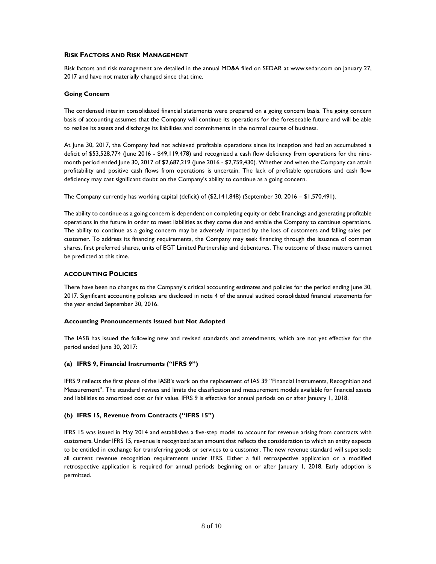## **RISK FACTORS AND RISK MANAGEMENT**

Risk factors and risk management are detailed in the annual MD&A filed on SEDAR at [www.sedar.com](http://www.sedar.com/) on January 27, 2017 and have not materially changed since that time.

## **Going Concern**

The condensed interim consolidated financial statements were prepared on a going concern basis. The going concern basis of accounting assumes that the Company will continue its operations for the foreseeable future and will be able to realize its assets and discharge its liabilities and commitments in the normal course of business.

At June 30, 2017, the Company had not achieved profitable operations since its inception and had an accumulated a deficit of \$53,528,774 (June 2016 - \$49,119,478) and recognized a cash flow deficiency from operations for the ninemonth period ended June 30, 2017 of \$2,687,219 (June 2016 - \$2,759,430). Whether and when the Company can attain profitability and positive cash flows from operations is uncertain. The lack of profitable operations and cash flow deficiency may cast significant doubt on the Company's ability to continue as a going concern.

The Company currently has working capital (deficit) of (\$2,141,848) (September 30, 2016 – \$1,570,491).

The ability to continue as a going concern is dependent on completing equity or debt financings and generating profitable operations in the future in order to meet liabilities as they come due and enable the Company to continue operations. The ability to continue as a going concern may be adversely impacted by the loss of customers and falling sales per customer. To address its financing requirements, the Company may seek financing through the issuance of common shares, first preferred shares, units of EGT Limited Partnership and debentures. The outcome of these matters cannot be predicted at this time.

#### **ACCOUNTING POLICIES**

There have been no changes to the Company's critical accounting estimates and policies for the period ending June 30, 2017. Significant accounting policies are disclosed in note 4 of the annual audited consolidated financial statements for the year ended September 30, 2016.

## **Accounting Pronouncements Issued but Not Adopted**

The IASB has issued the following new and revised standards and amendments, which are not yet effective for the period ended June 30, 2017:

## **(a) IFRS 9, Financial Instruments ("IFRS 9")**

IFRS 9 reflects the first phase of the IASB's work on the replacement of IAS 39 "Financial Instruments, Recognition and Measurement". The standard revises and limits the classification and measurement models available for financial assets and liabilities to amortized cost or fair value. IFRS 9 is effective for annual periods on or after January 1, 2018.

## **(b) IFRS 15, Revenue from Contracts ("IFRS 15")**

IFRS 15 was issued in May 2014 and establishes a five-step model to account for revenue arising from contracts with customers. Under IFRS 15, revenue is recognized at an amount that reflects the consideration to which an entity expects to be entitled in exchange for transferring goods or services to a customer. The new revenue standard will supersede all current revenue recognition requirements under IFRS. Either a full retrospective application or a modified retrospective application is required for annual periods beginning on or after January 1, 2018. Early adoption is permitted.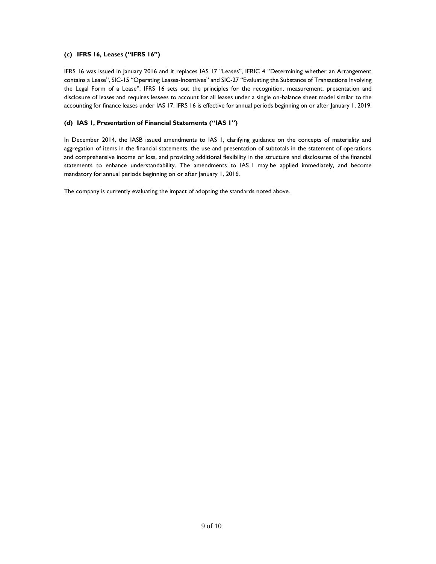## **(c) IFRS 16, Leases ("IFRS 16")**

IFRS 16 was issued in January 2016 and it replaces IAS 17 "Leases", IFRIC 4 "Determining whether an Arrangement contains a Lease", SIC-15 "Operating Leases-Incentives" and SIC-27 "Evaluating the Substance of Transactions Involving the Legal Form of a Lease". IFRS 16 sets out the principles for the recognition, measurement, presentation and disclosure of leases and requires lessees to account for all leases under a single on-balance sheet model similar to the accounting for finance leases under IAS 17. IFRS 16 is effective for annual periods beginning on or after January 1, 2019.

## **(d) IAS 1, Presentation of Financial Statements ("IAS 1")**

In December 2014, the IASB issued amendments to IAS 1, clarifying guidance on the concepts of materiality and aggregation of items in the financial statements, the use and presentation of subtotals in the statement of operations and comprehensive income or loss, and providing additional flexibility in the structure and disclosures of the financial statements to enhance understandability. The amendments to IAS 1 may be applied immediately, and become mandatory for annual periods beginning on or after January 1, 2016.

The company is currently evaluating the impact of adopting the standards noted above.